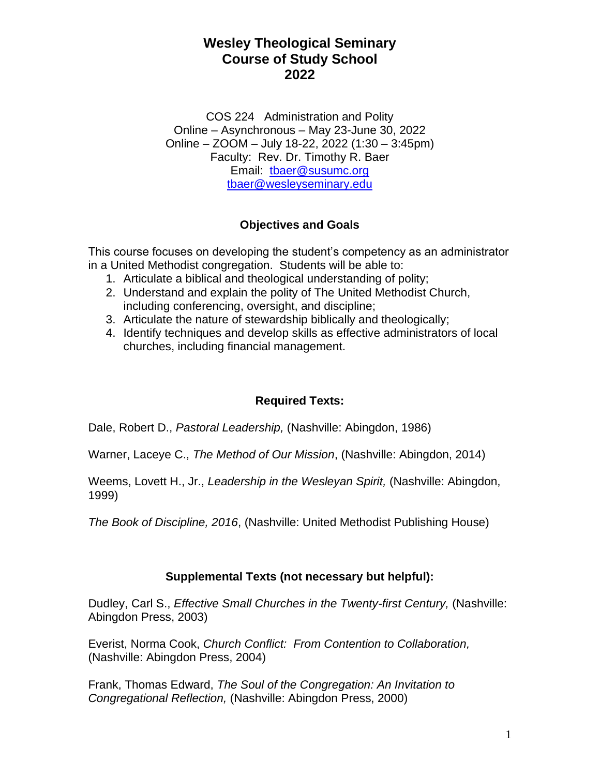COS 224 Administration and Polity Online – Asynchronous – May 23-June 30, 2022 Online – ZOOM – July 18-22, 2022 (1:30 – 3:45pm) Faculty: Rev. Dr. Timothy R. Baer Email: [tbaer@susumc.org](mailto:tbaer@susumc.org) [tbaer@wesleyseminary.edu](mailto:tbaer@wesleyseminary.edu)

## **Objectives and Goals**

This course focuses on developing the student's competency as an administrator in a United Methodist congregation. Students will be able to:

- 1. Articulate a biblical and theological understanding of polity;
- 2. Understand and explain the polity of The United Methodist Church, including conferencing, oversight, and discipline;
- 3. Articulate the nature of stewardship biblically and theologically;
- 4. Identify techniques and develop skills as effective administrators of local churches, including financial management.

### **Required Texts:**

Dale, Robert D., *Pastoral Leadership,* (Nashville: Abingdon, 1986)

Warner, Laceye C., *The Method of Our Mission*, (Nashville: Abingdon, 2014)

Weems, Lovett H., Jr., *Leadership in the Wesleyan Spirit,* (Nashville: Abingdon, 1999)

*The Book of Discipline, 2016*, (Nashville: United Methodist Publishing House)

### **Supplemental Texts (not necessary but helpful):**

Dudley, Carl S., *Effective Small Churches in the Twenty-first Century,* (Nashville: Abingdon Press, 2003)

Everist, Norma Cook, *Church Conflict: From Contention to Collaboration,* (Nashville: Abingdon Press, 2004)

Frank, Thomas Edward, *The Soul of the Congregation: An Invitation to Congregational Reflection,* (Nashville: Abingdon Press, 2000)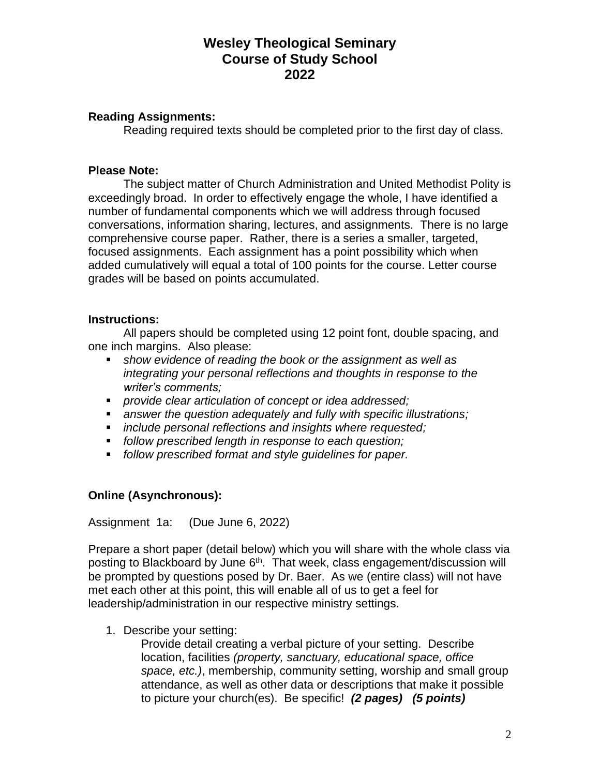### **Reading Assignments:**

Reading required texts should be completed prior to the first day of class.

### **Please Note:**

The subject matter of Church Administration and United Methodist Polity is exceedingly broad. In order to effectively engage the whole, I have identified a number of fundamental components which we will address through focused conversations, information sharing, lectures, and assignments. There is no large comprehensive course paper. Rather, there is a series a smaller, targeted, focused assignments. Each assignment has a point possibility which when added cumulatively will equal a total of 100 points for the course. Letter course grades will be based on points accumulated.

### **Instructions:**

All papers should be completed using 12 point font, double spacing, and one inch margins. Also please:

- show evidence of reading the book or the assignment as well as *integrating your personal reflections and thoughts in response to the writer's comments;*
- *provide clear articulation of concept or idea addressed;*
- answer the question adequately and fully with specific illustrations;
- *include personal reflections and insights where requested;*
- *follow prescribed length in response to each question;*
- *follow prescribed format and style quidelines for paper.*

### **Online (Asynchronous):**

Assignment 1a: (Due June 6, 2022)

Prepare a short paper (detail below) which you will share with the whole class via posting to Blackboard by June 6<sup>th</sup>. That week, class engagement/discussion will be prompted by questions posed by Dr. Baer. As we (entire class) will not have met each other at this point, this will enable all of us to get a feel for leadership/administration in our respective ministry settings.

1. Describe your setting:

Provide detail creating a verbal picture of your setting. Describe location, facilities *(property, sanctuary, educational space, office space, etc.)*, membership, community setting, worship and small group attendance, as well as other data or descriptions that make it possible to picture your church(es). Be specific! *(2 pages) (5 points)*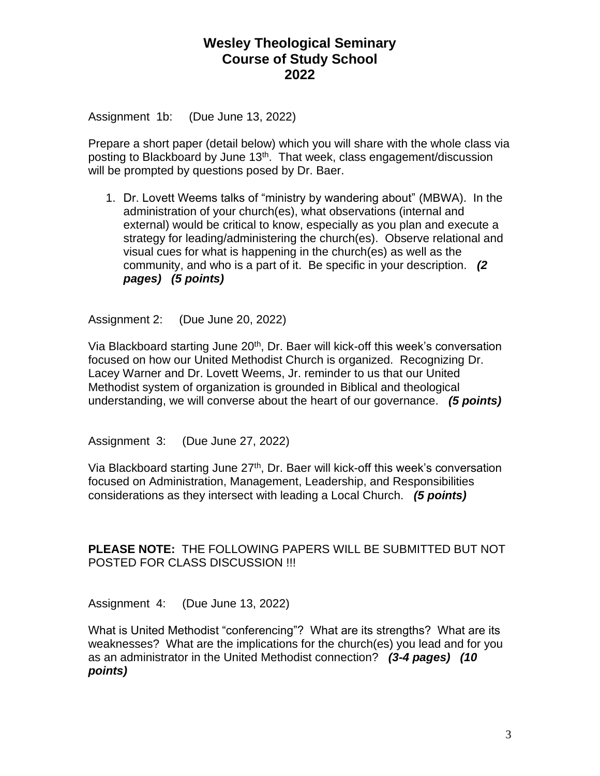Assignment 1b: (Due June 13, 2022)

Prepare a short paper (detail below) which you will share with the whole class via posting to Blackboard by June 13<sup>th</sup>. That week, class engagement/discussion will be prompted by questions posed by Dr. Baer.

1. Dr. Lovett Weems talks of "ministry by wandering about" (MBWA). In the administration of your church(es), what observations (internal and external) would be critical to know, especially as you plan and execute a strategy for leading/administering the church(es). Observe relational and visual cues for what is happening in the church(es) as well as the community, and who is a part of it. Be specific in your description. *(2 pages) (5 points)*

Assignment 2: (Due June 20, 2022)

Via Blackboard starting June 20<sup>th</sup>, Dr. Baer will kick-off this week's conversation focused on how our United Methodist Church is organized. Recognizing Dr. Lacey Warner and Dr. Lovett Weems, Jr. reminder to us that our United Methodist system of organization is grounded in Biblical and theological understanding, we will converse about the heart of our governance. *(5 points)*

Assignment 3: (Due June 27, 2022)

Via Blackboard starting June 27<sup>th</sup>, Dr. Baer will kick-off this week's conversation focused on Administration, Management, Leadership, and Responsibilities considerations as they intersect with leading a Local Church. *(5 points)*

**PLEASE NOTE:** THE FOLLOWING PAPERS WILL BE SUBMITTED BUT NOT POSTED FOR CLASS DISCUSSION !!!

Assignment 4: (Due June 13, 2022)

What is United Methodist "conferencing"? What are its strengths? What are its weaknesses? What are the implications for the church(es) you lead and for you as an administrator in the United Methodist connection? *(3-4 pages) (10 points)*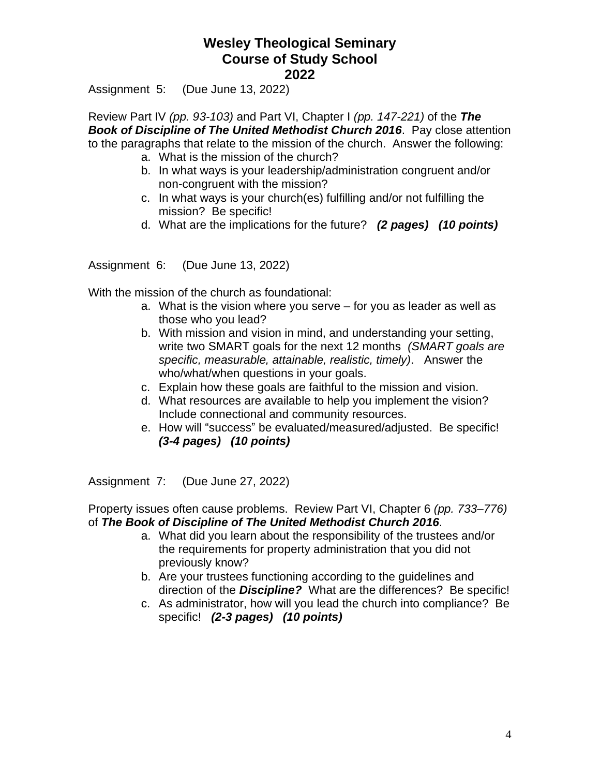Assignment 5: (Due June 13, 2022)

Review Part IV *(pp. 93-103)* and Part VI, Chapter I *(pp. 147-221)* of the *The Book of Discipline of The United Methodist Church 2016*. Pay close attention to the paragraphs that relate to the mission of the church. Answer the following:

- a. What is the mission of the church?
- b. In what ways is your leadership/administration congruent and/or non-congruent with the mission?
- c. In what ways is your church(es) fulfilling and/or not fulfilling the mission? Be specific!
- d. What are the implications for the future? *(2 pages) (10 points)*

Assignment 6: (Due June 13, 2022)

With the mission of the church as foundational:

- a. What is the vision where you serve for you as leader as well as those who you lead?
- b. With mission and vision in mind, and understanding your setting, write two SMART goals for the next 12 months *(SMART goals are specific, measurable, attainable, realistic, timely)*. Answer the who/what/when questions in your goals.
- c. Explain how these goals are faithful to the mission and vision.
- d. What resources are available to help you implement the vision? Include connectional and community resources.
- e. How will "success" be evaluated/measured/adjusted. Be specific! *(3-4 pages) (10 points)*

Assignment 7: (Due June 27, 2022)

Property issues often cause problems. Review Part VI, Chapter 6 *(pp. 733–776)* of *The Book of Discipline of The United Methodist Church 2016*.

- a. What did you learn about the responsibility of the trustees and/or the requirements for property administration that you did not previously know?
- b. Are your trustees functioning according to the guidelines and direction of the *Discipline?* What are the differences? Be specific!
- c. As administrator, how will you lead the church into compliance? Be specific! *(2-3 pages) (10 points)*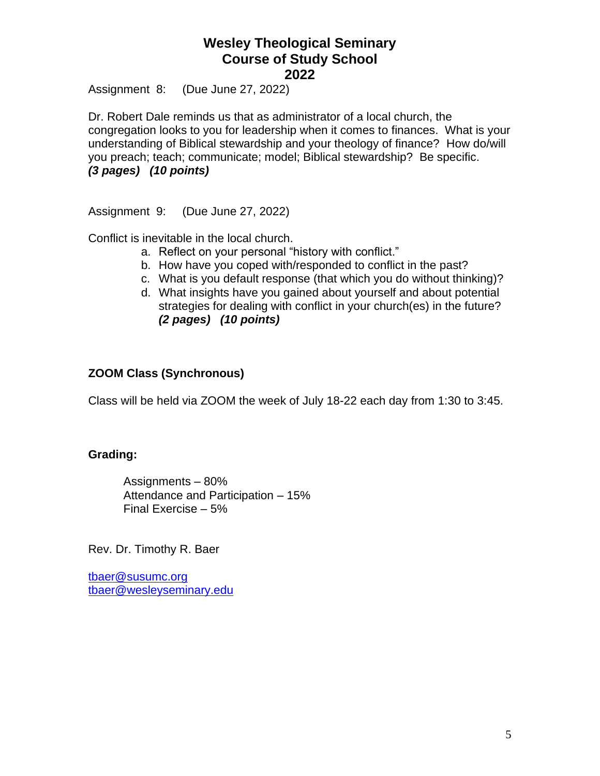Assignment 8: (Due June 27, 2022)

Dr. Robert Dale reminds us that as administrator of a local church, the congregation looks to you for leadership when it comes to finances. What is your understanding of Biblical stewardship and your theology of finance? How do/will you preach; teach; communicate; model; Biblical stewardship? Be specific. *(3 pages) (10 points)*

Assignment 9: (Due June 27, 2022)

Conflict is inevitable in the local church.

- a. Reflect on your personal "history with conflict."
- b. How have you coped with/responded to conflict in the past?
- c. What is you default response (that which you do without thinking)?
- d. What insights have you gained about yourself and about potential strategies for dealing with conflict in your church(es) in the future? *(2 pages) (10 points)*

### **ZOOM Class (Synchronous)**

Class will be held via ZOOM the week of July 18-22 each day from 1:30 to 3:45.

### **Grading:**

Assignments – 80% Attendance and Participation – 15% Final Exercise – 5%

Rev. Dr. Timothy R. Baer

[tbaer@susumc.org](mailto:tbaer@susumc.org) [tbaer@wesleyseminary.edu](mailto:tbaer@wesleyseminary.edu)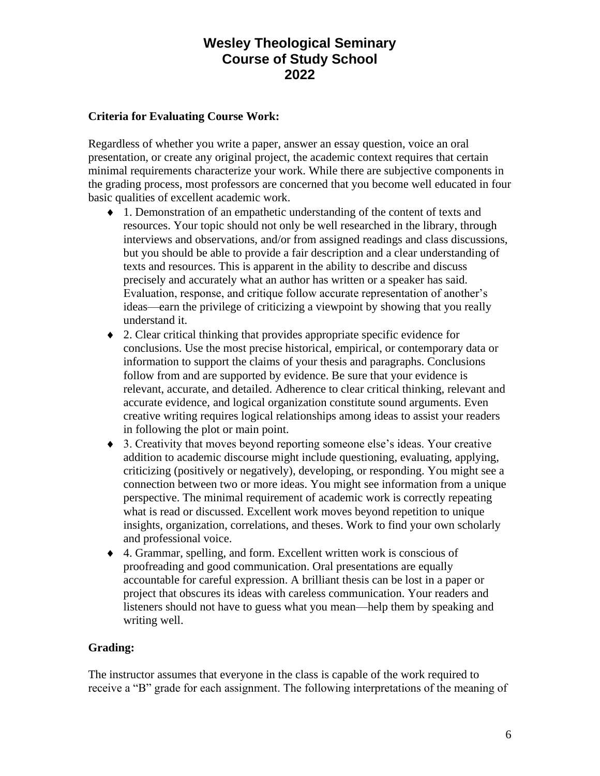### **Criteria for Evaluating Course Work:**

Regardless of whether you write a paper, answer an essay question, voice an oral presentation, or create any original project, the academic context requires that certain minimal requirements characterize your work. While there are subjective components in the grading process, most professors are concerned that you become well educated in four basic qualities of excellent academic work.

- 1. Demonstration of an empathetic understanding of the content of texts and resources. Your topic should not only be well researched in the library, through interviews and observations, and/or from assigned readings and class discussions, but you should be able to provide a fair description and a clear understanding of texts and resources. This is apparent in the ability to describe and discuss precisely and accurately what an author has written or a speaker has said. Evaluation, response, and critique follow accurate representation of another's ideas—earn the privilege of criticizing a viewpoint by showing that you really understand it.
- 2. Clear critical thinking that provides appropriate specific evidence for conclusions. Use the most precise historical, empirical, or contemporary data or information to support the claims of your thesis and paragraphs. Conclusions follow from and are supported by evidence. Be sure that your evidence is relevant, accurate, and detailed. Adherence to clear critical thinking, relevant and accurate evidence, and logical organization constitute sound arguments. Even creative writing requires logical relationships among ideas to assist your readers in following the plot or main point.
- 3. Creativity that moves beyond reporting someone else's ideas. Your creative addition to academic discourse might include questioning, evaluating, applying, criticizing (positively or negatively), developing, or responding. You might see a connection between two or more ideas. You might see information from a unique perspective. The minimal requirement of academic work is correctly repeating what is read or discussed. Excellent work moves beyond repetition to unique insights, organization, correlations, and theses. Work to find your own scholarly and professional voice.
- 4. Grammar, spelling, and form. Excellent written work is conscious of proofreading and good communication. Oral presentations are equally accountable for careful expression. A brilliant thesis can be lost in a paper or project that obscures its ideas with careless communication. Your readers and listeners should not have to guess what you mean—help them by speaking and writing well.

### **Grading:**

The instructor assumes that everyone in the class is capable of the work required to receive a "B" grade for each assignment. The following interpretations of the meaning of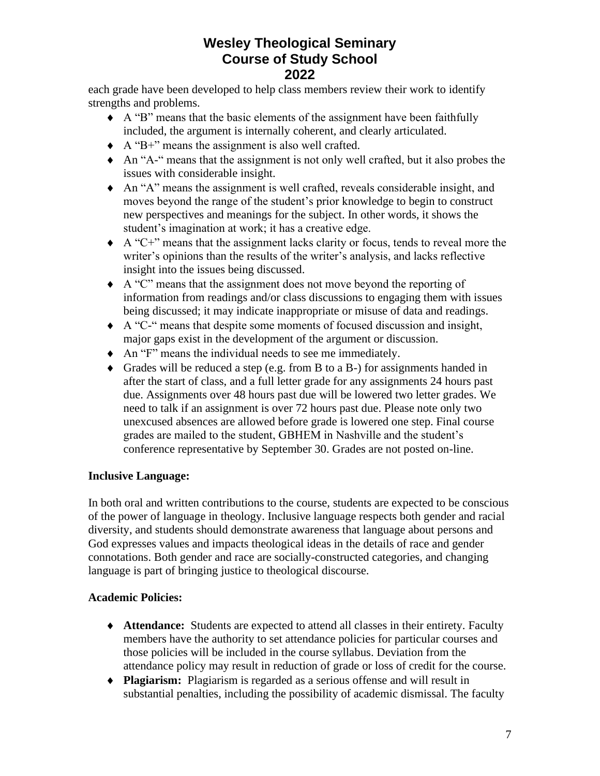each grade have been developed to help class members review their work to identify strengths and problems.

- A "B" means that the basic elements of the assignment have been faithfully included, the argument is internally coherent, and clearly articulated.
- A "B+" means the assignment is also well crafted.
- An "A-" means that the assignment is not only well crafted, but it also probes the issues with considerable insight.
- An "A" means the assignment is well crafted, reveals considerable insight, and moves beyond the range of the student's prior knowledge to begin to construct new perspectives and meanings for the subject. In other words, it shows the student's imagination at work; it has a creative edge.
- $\triangle$  A "C+" means that the assignment lacks clarity or focus, tends to reveal more the writer's opinions than the results of the writer's analysis, and lacks reflective insight into the issues being discussed.
- A "C" means that the assignment does not move beyond the reporting of information from readings and/or class discussions to engaging them with issues being discussed; it may indicate inappropriate or misuse of data and readings.
- A "C-" means that despite some moments of focused discussion and insight, major gaps exist in the development of the argument or discussion.
- An "F" means the individual needs to see me immediately.
- Grades will be reduced a step (e.g. from B to a B-) for assignments handed in after the start of class, and a full letter grade for any assignments 24 hours past due. Assignments over 48 hours past due will be lowered two letter grades. We need to talk if an assignment is over 72 hours past due. Please note only two unexcused absences are allowed before grade is lowered one step. Final course grades are mailed to the student, GBHEM in Nashville and the student's conference representative by September 30. Grades are not posted on-line.

### **Inclusive Language:**

In both oral and written contributions to the course, students are expected to be conscious of the power of language in theology. Inclusive language respects both gender and racial diversity, and students should demonstrate awareness that language about persons and God expresses values and impacts theological ideas in the details of race and gender connotations. Both gender and race are socially-constructed categories, and changing language is part of bringing justice to theological discourse.

### **Academic Policies:**

- **Attendance:** Students are expected to attend all classes in their entirety. Faculty members have the authority to set attendance policies for particular courses and those policies will be included in the course syllabus. Deviation from the attendance policy may result in reduction of grade or loss of credit for the course.
- **Plagiarism:** Plagiarism is regarded as a serious offense and will result in substantial penalties, including the possibility of academic dismissal. The faculty